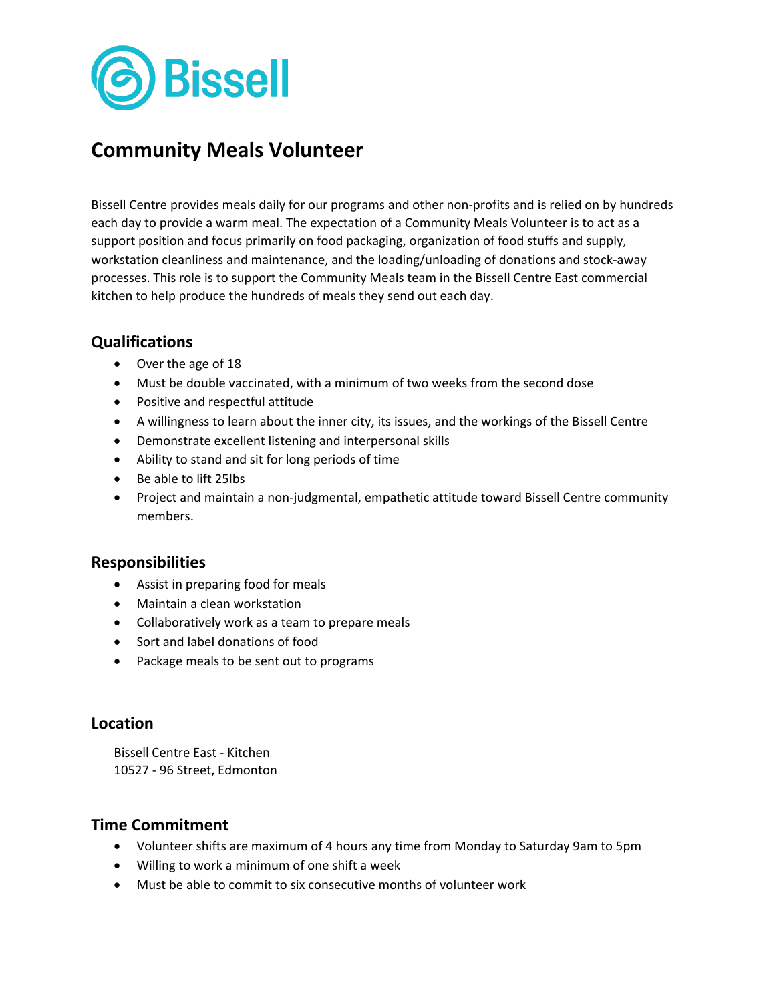

# **Community Meals Volunteer**

Bissell Centre provides meals daily for our programs and other non-profits and is relied on by hundreds each day to provide a warm meal. The expectation of a Community Meals Volunteer is to act as a support position and focus primarily on food packaging, organization of food stuffs and supply, workstation cleanliness and maintenance, and the loading/unloading of donations and stock-away processes. This role is to support the Community Meals team in the Bissell Centre East commercial kitchen to help produce the hundreds of meals they send out each day.

# **Qualifications**

- Over the age of 18
- Must be double vaccinated, with a minimum of two weeks from the second dose
- Positive and respectful attitude
- A willingness to learn about the inner city, its issues, and the workings of the Bissell Centre
- Demonstrate excellent listening and interpersonal skills
- Ability to stand and sit for long periods of time
- Be able to lift 25lbs
- Project and maintain a non-judgmental, empathetic attitude toward Bissell Centre community members.

### **Responsibilities**

- Assist in preparing food for meals
- Maintain a clean workstation
- Collaboratively work as a team to prepare meals
- Sort and label donations of food
- Package meals to be sent out to programs

#### **Location**

Bissell Centre East - Kitchen 10527 - 96 Street, Edmonton

### **Time Commitment**

- Volunteer shifts are maximum of 4 hours any time from Monday to Saturday 9am to 5pm
- Willing to work a minimum of one shift a week
- Must be able to commit to six consecutive months of volunteer work